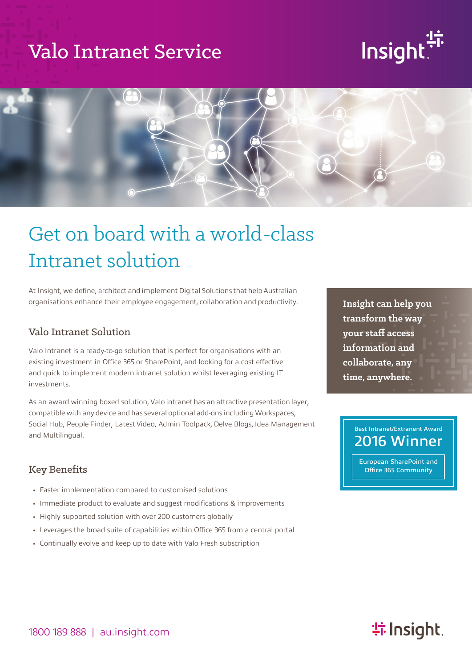## Valo Intranet Service

# Insight:



# Get on board with a world-class Intranet solution

At Insight, we define, architect and implement Digital Solutions that help Australian organisations enhance their employee engagement, collaboration and productivity.

#### Valo Intranet Solution

Valo Intranet is a ready-to-go solution that is perfect for organisations with an existing investment in Office 365 or SharePoint, and looking for a cost effective and quick to implement modern intranet solution whilst leveraging existing IT investments.

As an award winning boxed solution, Valo intranet has an attractive presentation layer, compatible with any device and has several optional add-ons including Workspaces, Social Hub, People Finder, Latest Video, Admin Toolpack, Delve Blogs, Idea Management and Multilingual.

#### Key Benefits

- Faster implementation compared to customised solutions
- Immediate product to evaluate and suggest modifications & improvements
- Highly supported solution with over 200 customers globally
- Leverages the broad suite of capabilities within Office 365 from a central portal
- Continually evolve and keep up to date with Valo Fresh subscription

**Insight can help you transform the way your staff access information and collaborate, any time, anywhere.**

#### Best Intranet/Extranent Award 2016 Winner

European SharePoint and Office 365 Community

### **特Insight**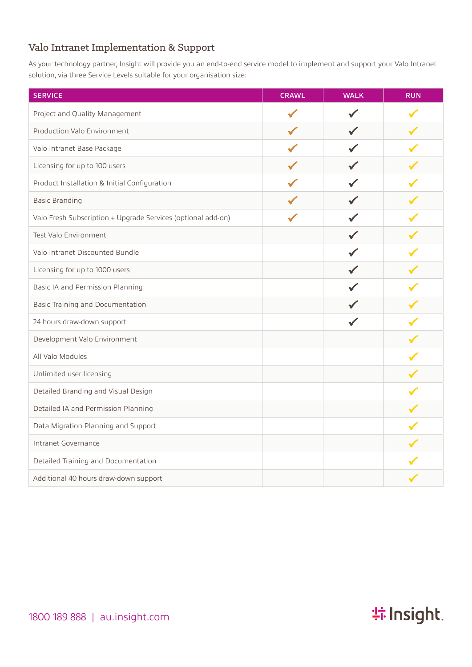#### Valo Intranet Implementation & Support

As your technology partner, Insight will provide you an end-to-end service model to implement and support your Valo Intranet solution, via three Service Levels suitable for your organisation size:

| <b>SERVICE</b>                                               | <b>CRAWL</b> | <b>WALK</b> | <b>RUN</b> |
|--------------------------------------------------------------|--------------|-------------|------------|
| Project and Quality Management                               |              |             |            |
| Production Valo Environment                                  |              |             |            |
| Valo Intranet Base Package                                   |              |             |            |
| Licensing for up to 100 users                                |              |             |            |
| Product Installation & Initial Configuration                 |              |             |            |
| <b>Basic Branding</b>                                        |              |             |            |
| Valo Fresh Subscription + Upgrade Services (optional add-on) |              |             |            |
| Test Valo Environment                                        |              |             |            |
| Valo Intranet Discounted Bundle                              |              |             |            |
| Licensing for up to 1000 users                               |              |             |            |
| Basic IA and Permission Planning                             |              |             |            |
| Basic Training and Documentation                             |              |             |            |
| 24 hours draw-down support                                   |              |             |            |
| Development Valo Environment                                 |              |             |            |
| All Valo Modules                                             |              |             |            |
| Unlimited user licensing                                     |              |             |            |
| Detailed Branding and Visual Design                          |              |             |            |
| Detailed IA and Permission Planning                          |              |             |            |
| Data Migration Planning and Support                          |              |             |            |
| Intranet Governance                                          |              |             |            |
| Detailed Training and Documentation                          |              |             |            |
| Additional 40 hours draw-down support                        |              |             |            |

**特Insight**.